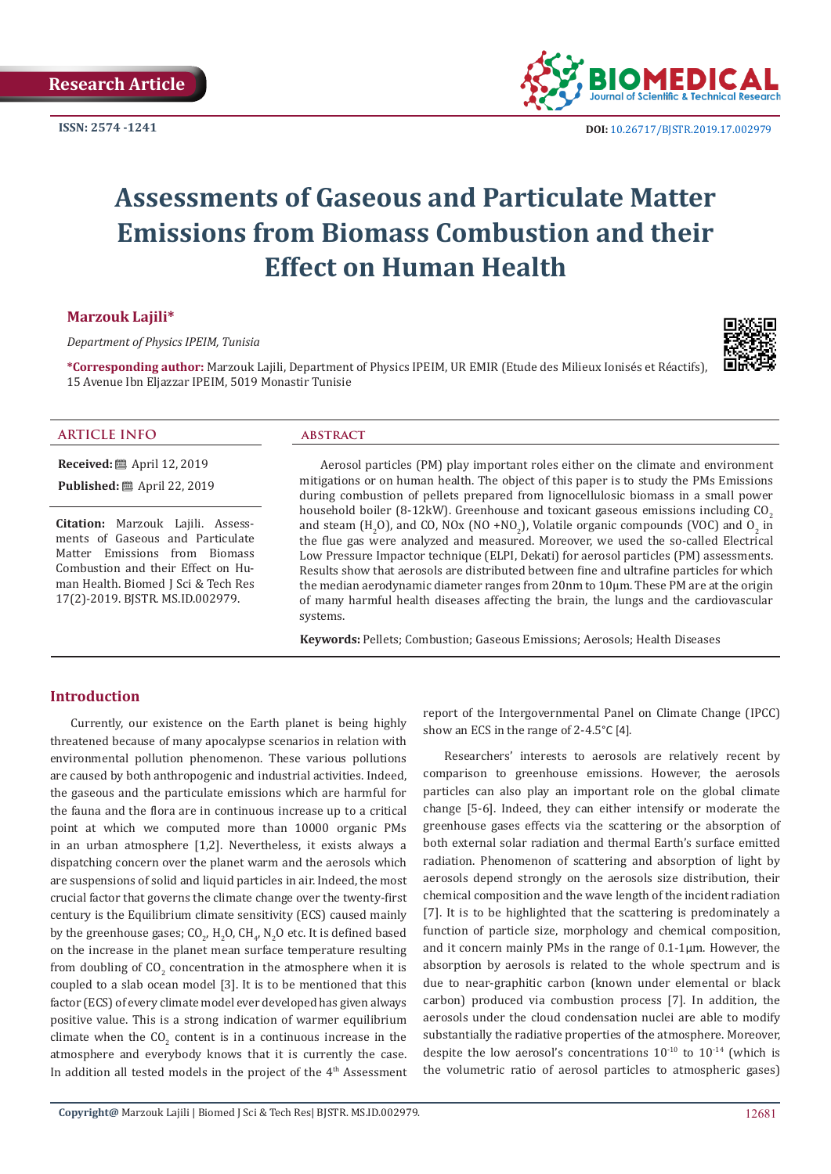**ISSN: 2574 -1241**



# **Assessments of Gaseous and Particulate Matter Emissions from Biomass Combustion and their Effect on Human Health**

# **Marzouk Lajili\***

*Department of Physics IPEIM, Tunisia*

**\*Corresponding author:** Marzouk Lajili, Department of Physics IPEIM, UR EMIR (Etude des Milieux Ionisés et Réactifs), 15 Avenue Ibn Eljazzar IPEIM, 5019 Monastir Tunisie



**ARTICLE INFO abstract**

**Received:** April 12, 2019

**Published:** ■ April 22, 2019

**Citation:** Marzouk Lajili. Assessments of Gaseous and Particulate Matter Emissions from Biomass Combustion and their Effect on Human Health. Biomed J Sci & Tech Res 17(2)-2019. BJSTR. MS.ID.002979.

Aerosol particles (PM) play important roles either on the climate and environment mitigations or on human health. The object of this paper is to study the PMs Emissions during combustion of pellets prepared from lignocellulosic biomass in a small power household boiler (8-12kW). Greenhouse and toxicant gaseous emissions including  $CO<sub>2</sub>$ and steam  $(H_2O)$ , and CO, NOx (NO +NO<sub>2</sub>), Volatile organic compounds (VOC) and O<sub>2</sub> in the flue gas were analyzed and measured. Moreover, we used the so-called Electrical Low Pressure Impactor technique (ELPI, Dekati) for aerosol particles (PM) assessments. Results show that aerosols are distributed between fine and ultrafine particles for which the median aerodynamic diameter ranges from 20nm to 10μm. These PM are at the origin of many harmful health diseases affecting the brain, the lungs and the cardiovascular systems.

**Keywords:** Pellets; Combustion; Gaseous Emissions; Aerosols; Health Diseases

# **Introduction**

Currently, our existence on the Earth planet is being highly threatened because of many apocalypse scenarios in relation with environmental pollution phenomenon. These various pollutions are caused by both anthropogenic and industrial activities. Indeed, the gaseous and the particulate emissions which are harmful for the fauna and the flora are in continuous increase up to a critical point at which we computed more than 10000 organic PMs in an urban atmosphere [1,2]. Nevertheless, it exists always a dispatching concern over the planet warm and the aerosols which are suspensions of solid and liquid particles in air. Indeed, the most crucial factor that governs the climate change over the twenty-first century is the Equilibrium climate sensitivity (ECS) caused mainly by the greenhouse gases;  $CO_{2'}H_2O$ ,  $CH_{4'}N_2O$  etc. It is defined based on the increase in the planet mean surface temperature resulting from doubling of  $CO_2$  concentration in the atmosphere when it is coupled to a slab ocean model [3]. It is to be mentioned that this factor (ECS) of every climate model ever developed has given always positive value. This is a strong indication of warmer equilibrium climate when the  $\mathsf{CO}_{2}$  content is in a continuous increase in the atmosphere and everybody knows that it is currently the case. In addition all tested models in the project of the  $4<sup>th</sup>$  Assessment report of the Intergovernmental Panel on Climate Change (IPCC) show an ECS in the range of 2-4.5°C [4].

Researchers' interests to aerosols are relatively recent by comparison to greenhouse emissions. However, the aerosols particles can also play an important role on the global climate change [5-6]. Indeed, they can either intensify or moderate the greenhouse gases effects via the scattering or the absorption of both external solar radiation and thermal Earth's surface emitted radiation. Phenomenon of scattering and absorption of light by aerosols depend strongly on the aerosols size distribution, their chemical composition and the wave length of the incident radiation [7]. It is to be highlighted that the scattering is predominately a function of particle size, morphology and chemical composition, and it concern mainly PMs in the range of 0.1-1μm. However, the absorption by aerosols is related to the whole spectrum and is due to near-graphitic carbon (known under elemental or black carbon) produced via combustion process [7]. In addition, the aerosols under the cloud condensation nuclei are able to modify substantially the radiative properties of the atmosphere. Moreover, despite the low aerosol's concentrations  $10^{-10}$  to  $10^{-14}$  (which is the volumetric ratio of aerosol particles to atmospheric gases)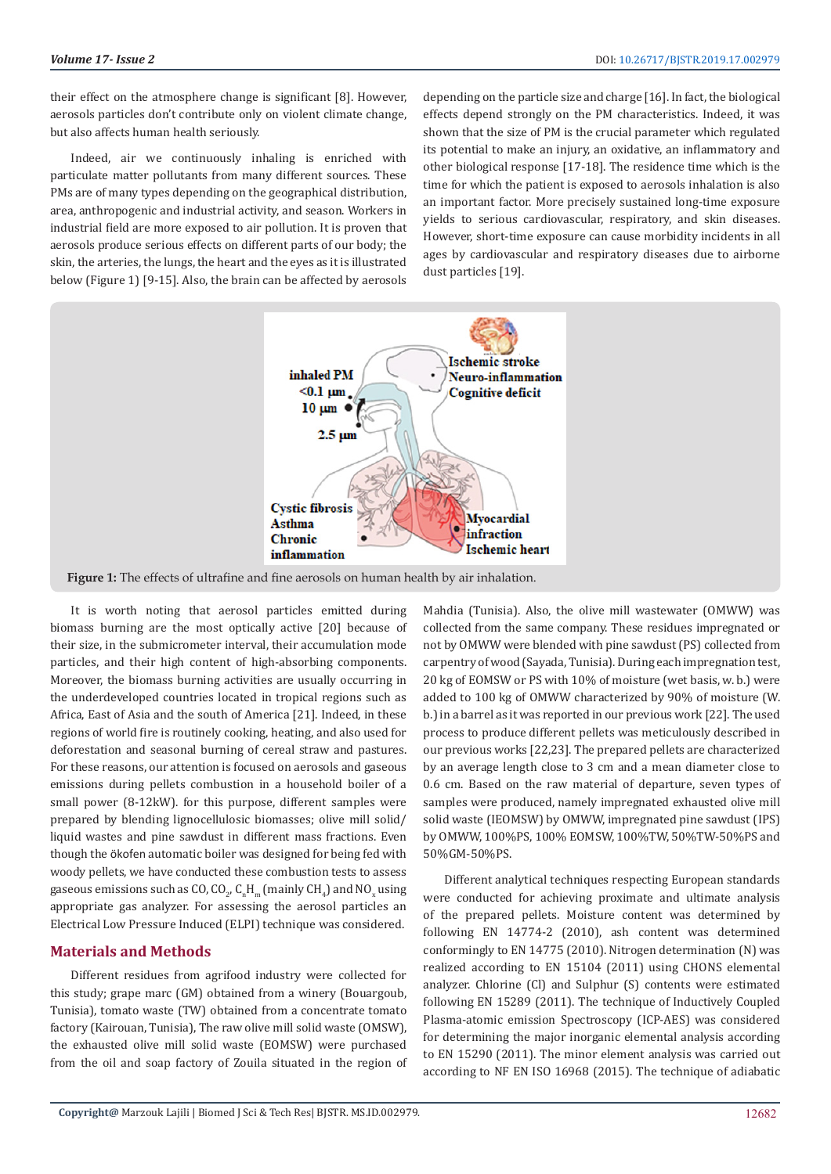their effect on the atmosphere change is significant [8]. However, aerosols particles don't contribute only on violent climate change, but also affects human health seriously.

Indeed, air we continuously inhaling is enriched with particulate matter pollutants from many different sources. These PMs are of many types depending on the geographical distribution, area, anthropogenic and industrial activity, and season. Workers in industrial field are more exposed to air pollution. It is proven that aerosols produce serious effects on different parts of our body; the skin, the arteries, the lungs, the heart and the eyes as it is illustrated below (Figure 1) [9-15]. Also, the brain can be affected by aerosols depending on the particle size and charge [16]. In fact, the biological effects depend strongly on the PM characteristics. Indeed, it was shown that the size of PM is the crucial parameter which regulated its potential to make an injury, an oxidative, an inflammatory and other biological response [17-18]. The residence time which is the time for which the patient is exposed to aerosols inhalation is also an important factor. More precisely sustained long-time exposure yields to serious cardiovascular, respiratory, and skin diseases. However, short-time exposure can cause morbidity incidents in all ages by cardiovascular and respiratory diseases due to airborne dust particles [19].



**Figure 1:** The effects of ultrafine and fine aerosols on human health by air inhalation.

It is worth noting that aerosol particles emitted during biomass burning are the most optically active [20] because of their size, in the submicrometer interval, their accumulation mode particles, and their high content of high-absorbing components. Moreover, the biomass burning activities are usually occurring in the underdeveloped countries located in tropical regions such as Africa, East of Asia and the south of America [21]. Indeed, in these regions of world fire is routinely cooking, heating, and also used for deforestation and seasonal burning of cereal straw and pastures. For these reasons, our attention is focused on aerosols and gaseous emissions during pellets combustion in a household boiler of a small power (8-12kW). for this purpose, different samples were prepared by blending lignocellulosic biomasses; olive mill solid/ liquid wastes and pine sawdust in different mass fractions. Even though the ökofen automatic boiler was designed for being fed with woody pellets, we have conducted these combustion tests to assess gaseous emissions such as CO, CO<sub>2</sub>, C<sub>n</sub>H<sub>m</sub> (mainly CH<sub>4</sub>) and NO<sub>x</sub> using appropriate gas analyzer. For assessing the aerosol particles an Electrical Low Pressure Induced (ELPI) technique was considered.

# **Materials and Methods**

Different residues from agrifood industry were collected for this study; grape marc (GM) obtained from a winery (Bouargoub, Tunisia), tomato waste (TW) obtained from a concentrate tomato factory (Kairouan, Tunisia), The raw olive mill solid waste (OMSW), the exhausted olive mill solid waste (EOMSW) were purchased from the oil and soap factory of Zouila situated in the region of Mahdia (Tunisia). Also, the olive mill wastewater (OMWW) was collected from the same company. These residues impregnated or not by OMWW were blended with pine sawdust (PS) collected from carpentry of wood (Sayada, Tunisia). During each impregnation test, 20 kg of EOMSW or PS with 10% of moisture (wet basis, w. b.) were added to 100 kg of OMWW characterized by 90% of moisture (W. b.) in a barrel as it was reported in our previous work [22]. The used process to produce different pellets was meticulously described in our previous works [22,23]. The prepared pellets are characterized by an average length close to 3 cm and a mean diameter close to 0.6 cm. Based on the raw material of departure, seven types of samples were produced, namely impregnated exhausted olive mill solid waste (IEOMSW) by OMWW, impregnated pine sawdust (IPS) by OMWW, 100%PS, 100% EOMSW, 100%TW, 50%TW-50%PS and 50%GM-50%PS.

Different analytical techniques respecting European standards were conducted for achieving proximate and ultimate analysis of the prepared pellets. Moisture content was determined by following EN 14774-2 (2010), ash content was determined conformingly to EN 14775 (2010). Nitrogen determination (N) was realized according to EN 15104 (2011) using CHONS elemental analyzer. Chlorine (Cl) and Sulphur (S) contents were estimated following EN 15289 (2011). The technique of Inductively Coupled Plasma-atomic emission Spectroscopy (ICP-AES) was considered for determining the major inorganic elemental analysis according to EN 15290 (2011). The minor element analysis was carried out according to NF EN ISO 16968 (2015). The technique of adiabatic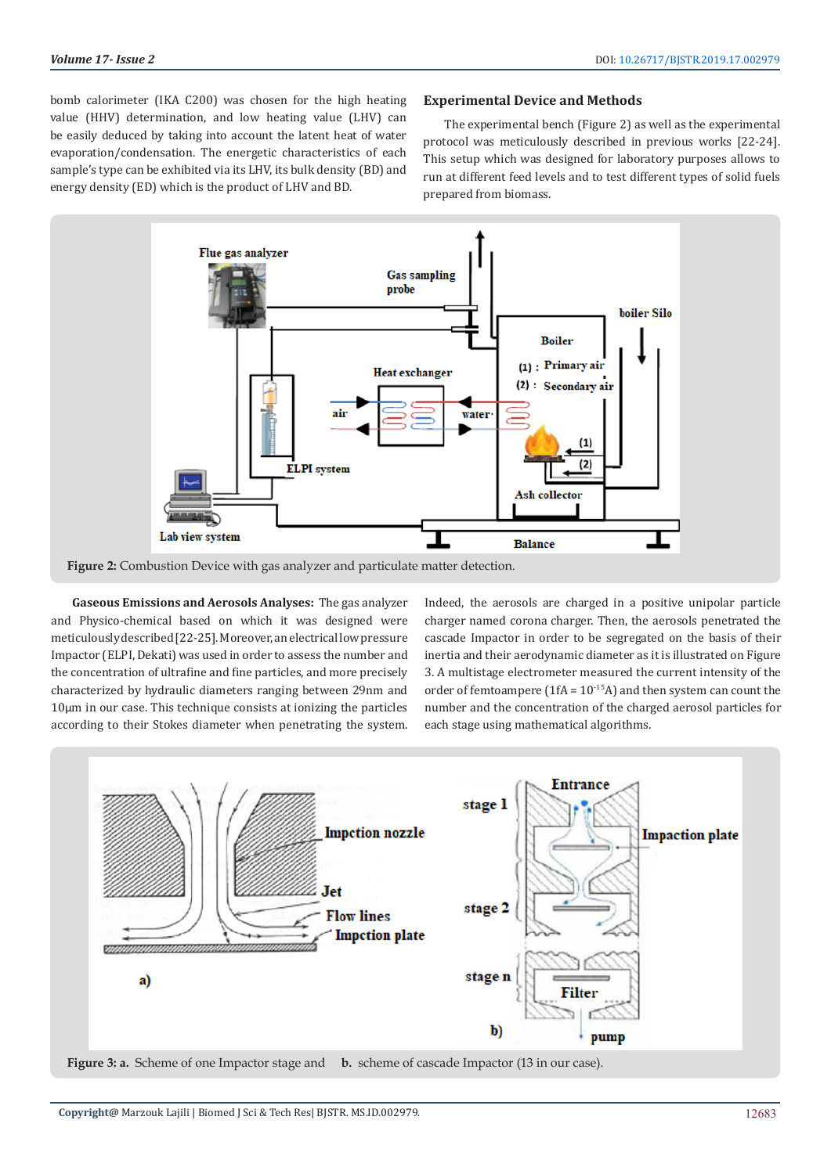bomb calorimeter (IKA C200) was chosen for the high heating value (HHV) determination, and low heating value (LHV) can be easily deduced by taking into account the latent heat of water evaporation/condensation. The energetic characteristics of each sample's type can be exhibited via its LHV, its bulk density (BD) and energy density (ED) which is the product of LHV and BD.

# **Experimental Device and Methods**

The experimental bench (Figure 2) as well as the experimental protocol was meticulously described in previous works [22-24]. This setup which was designed for laboratory purposes allows to run at different feed levels and to test different types of solid fuels prepared from biomass.



**Figure 2:** Combustion Device with gas analyzer and particulate matter detection.

**Gaseous Emissions and Aerosols Analyses:** The gas analyzer and Physico-chemical based on which it was designed were meticulously described [22-25]. Moreover, an electrical low pressure Impactor (ELPI, Dekati) was used in order to assess the number and the concentration of ultrafine and fine particles, and more precisely characterized by hydraulic diameters ranging between 29nm and 10μm in our case. This technique consists at ionizing the particles according to their Stokes diameter when penetrating the system.

Indeed, the aerosols are charged in a positive unipolar particle charger named corona charger. Then, the aerosols penetrated the cascade Impactor in order to be segregated on the basis of their inertia and their aerodynamic diameter as it is illustrated on Figure 3. A multistage electrometer measured the current intensity of the order of femtoampere (1fA =  $10^{-15}$ A) and then system can count the number and the concentration of the charged aerosol particles for each stage using mathematical algorithms.

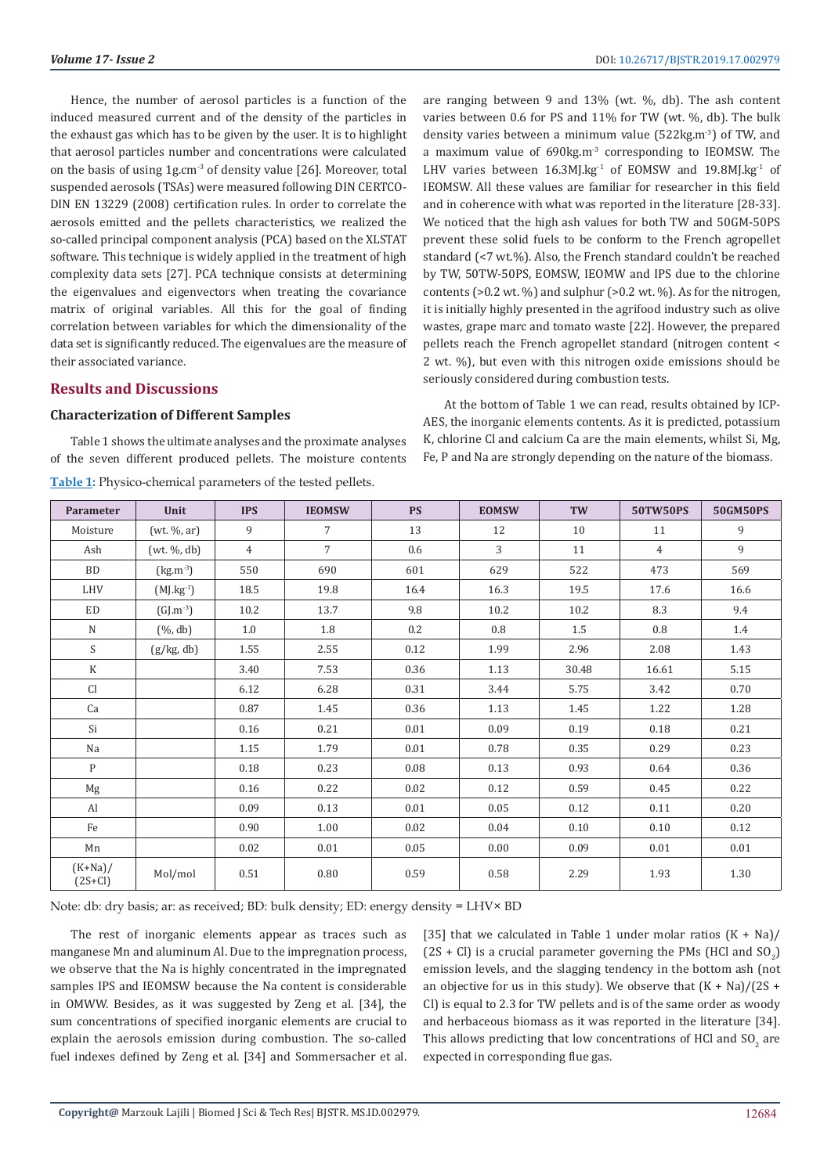Hence, the number of aerosol particles is a function of the induced measured current and of the density of the particles in the exhaust gas which has to be given by the user. It is to highlight that aerosol particles number and concentrations were calculated on the basis of using 1g.cm<sup>-3</sup> of density value [26]. Moreover, total suspended aerosols (TSAs) were measured following DIN CERTCO-DIN EN 13229 (2008) certification rules. In order to correlate the aerosols emitted and the pellets characteristics, we realized the so-called principal component analysis (PCA) based on the XLSTAT software. This technique is widely applied in the treatment of high complexity data sets [27]. PCA technique consists at determining the eigenvalues and eigenvectors when treating the covariance matrix of original variables. All this for the goal of finding correlation between variables for which the dimensionality of the data set is significantly reduced. The eigenvalues are the measure of their associated variance.

# **Results and Discussions**

#### **Characterization of Different Samples**

Table 1 shows the ultimate analyses and the proximate analyses of the seven different produced pellets. The moisture contents **Table 1:** Physico-chemical parameters of the tested pellets.

are ranging between 9 and 13% (wt. %, db). The ash content varies between 0.6 for PS and 11% for TW (wt. %, db). The bulk density varies between a minimum value (522kg.m-3) of TW, and a maximum value of 690kg.m-3 corresponding to IEOMSW. The LHV varies between  $16.3M$ J.kg<sup>-1</sup> of EOMSW and  $19.8M$ J.kg<sup>-1</sup> of IEOMSW. All these values are familiar for researcher in this field and in coherence with what was reported in the literature [28-33]. We noticed that the high ash values for both TW and 50GM-50PS prevent these solid fuels to be conform to the French agropellet standard (<7 wt.%). Also, the French standard couldn't be reached by TW, 50TW-50PS, EOMSW, IEOMW and IPS due to the chlorine contents (>0.2 wt. %) and sulphur (>0.2 wt. %). As for the nitrogen, it is initially highly presented in the agrifood industry such as olive wastes, grape marc and tomato waste [22]. However, the prepared pellets reach the French agropellet standard (nitrogen content < 2 wt. %), but even with this nitrogen oxide emissions should be seriously considered during combustion tests.

At the bottom of Table 1 we can read, results obtained by ICP-AES, the inorganic elements contents. As it is predicted, potassium K, chlorine Cl and calcium Ca are the main elements, whilst Si, Mg, Fe, P and Na are strongly depending on the nature of the biomass.

| Parameter               | Unit           | <b>IPS</b>     | <b>IEOMSW</b>  | <b>PS</b> | <b>EOMSW</b> | TW    | <b>50TW50PS</b> | <b>50GM50PS</b> |
|-------------------------|----------------|----------------|----------------|-----------|--------------|-------|-----------------|-----------------|
| Moisture                | (wt. %, ar)    | 9              | $\overline{7}$ | 13        | 12           | 10    | 11              | 9               |
| Ash                     | (wt. %, db)    | $\overline{4}$ | $\overline{7}$ | 0.6       | 3            | 11    | $\overline{4}$  | 9               |
| <b>BD</b>               | $(kg.m^{-3})$  | 550            | 690            | 601       | 629          | 522   | 473             | 569             |
| LHV                     | $(MJ.kg^{-1})$ | 18.5           | 19.8           | 16.4      | 16.3         | 19.5  | 17.6            | 16.6            |
| ED                      | $(GJ.m^{-3})$  | 10.2           | 13.7           | 9.8       | 10.2         | 10.2  | 8.3             | 9.4             |
| $\mathbf N$             | $(\%$ , db)    | 1.0            | 1.8            | 0.2       | 0.8          | 1.5   | 0.8             | 1.4             |
| S                       | (g/kg, db)     | 1.55           | 2.55           | 0.12      | 1.99         | 2.96  | 2.08            | 1.43            |
| $\mathbf K$             |                | 3.40           | 7.53           | 0.36      | 1.13         | 30.48 | 16.61           | 5.15            |
| Cl                      |                | 6.12           | 6.28           | 0.31      | 3.44         | 5.75  | 3.42            | 0.70            |
| Ca                      |                | 0.87           | 1.45           | 0.36      | 1.13         | 1.45  | 1.22            | 1.28            |
| Si                      |                | 0.16           | 0.21           | 0.01      | 0.09         | 0.19  | 0.18            | 0.21            |
| Na                      |                | 1.15           | 1.79           | 0.01      | 0.78         | 0.35  | 0.29            | 0.23            |
| $\mathbf{P}$            |                | 0.18           | 0.23           | 0.08      | 0.13         | 0.93  | 0.64            | 0.36            |
| Mg                      |                | 0.16           | 0.22           | 0.02      | 0.12         | 0.59  | 0.45            | 0.22            |
| Al                      |                | 0.09           | 0.13           | 0.01      | 0.05         | 0.12  | 0.11            | 0.20            |
| Fe                      |                | 0.90           | 1.00           | 0.02      | 0.04         | 0.10  | 0.10            | 0.12            |
| Mn                      |                | 0.02           | 0.01           | 0.05      | 0.00         | 0.09  | 0.01            | 0.01            |
| $(K+Na)$ /<br>$(2S+Cl)$ | Mol/mol        | 0.51           | 0.80           | 0.59      | 0.58         | 2.29  | 1.93            | 1.30            |

Note: db: dry basis; ar: as received; BD: bulk density; ED: energy density = LHV× BD

The rest of inorganic elements appear as traces such as manganese Mn and aluminum Al. Due to the impregnation process, we observe that the Na is highly concentrated in the impregnated samples IPS and IEOMSW because the Na content is considerable in OMWW. Besides, as it was suggested by Zeng et al. [34], the sum concentrations of specified inorganic elements are crucial to explain the aerosols emission during combustion. The so-called fuel indexes defined by Zeng et al. [34] and Sommersacher et al. [35] that we calculated in Table 1 under molar ratios  $(K + Na)/$  $(2S + CI)$  is a crucial parameter governing the PMs (HCl and  $SO_2$ ) emission levels, and the slagging tendency in the bottom ash (not an objective for us in this study). We observe that  $(K + Na)/(2S +$ Cl) is equal to 2.3 for TW pellets and is of the same order as woody and herbaceous biomass as it was reported in the literature [34]. This allows predicting that low concentrations of HCl and  $\mathop{\rm SO}\nolimits_2$  are expected in corresponding flue gas.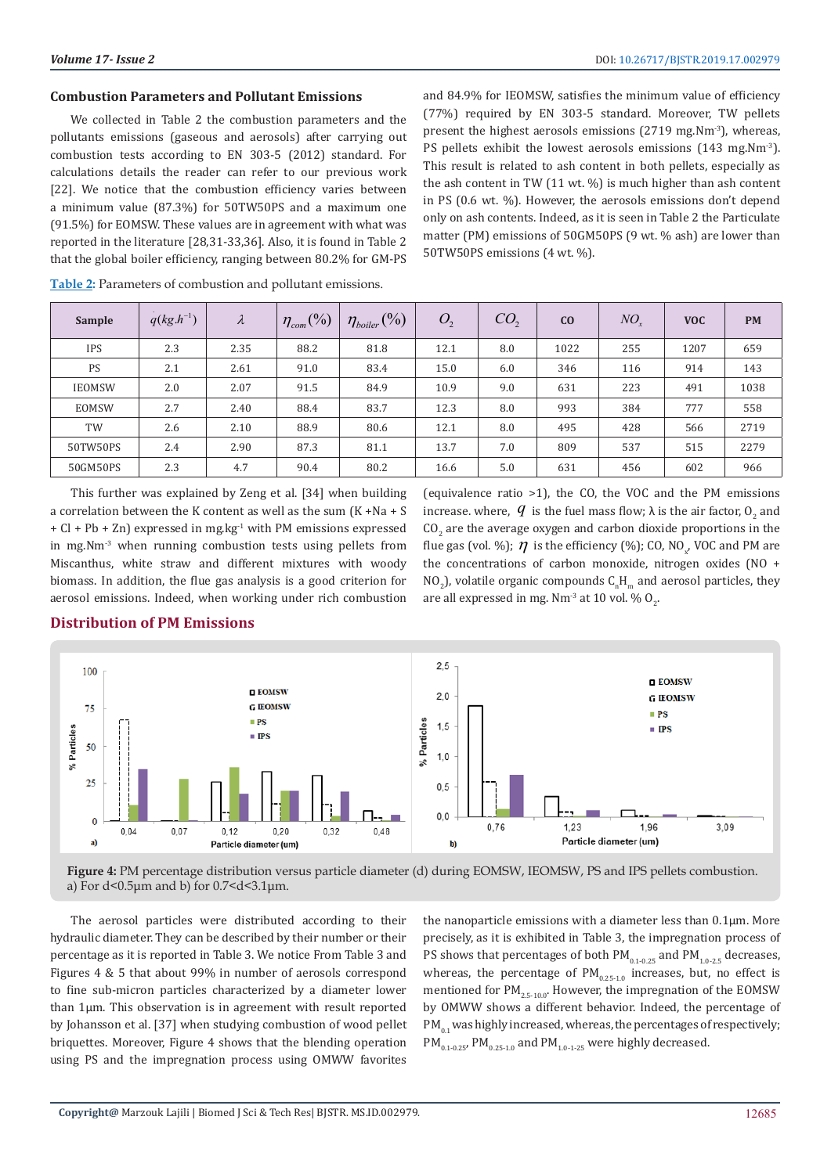#### **Combustion Parameters and Pollutant Emissions**

We collected in Table 2 the combustion parameters and the pollutants emissions (gaseous and aerosols) after carrying out combustion tests according to EN 303-5 (2012) standard. For calculations details the reader can refer to our previous work [22]. We notice that the combustion efficiency varies between a minimum value (87.3%) for 50TW50PS and a maximum one (91.5%) for EOMSW. These values are in agreement with what was reported in the literature [28,31-33,36]. Also, it is found in Table 2 that the global boiler efficiency, ranging between 80.2% for GM-PS

and 84.9% for IEOMSW, satisfies the minimum value of efficiency (77%) required by EN 303-5 standard. Moreover, TW pellets present the highest aerosols emissions (2719 mg.Nm<sup>-3</sup>), whereas, PS pellets exhibit the lowest aerosols emissions (143 mg.Nm<sup>-3</sup>). This result is related to ash content in both pellets, especially as the ash content in TW (11 wt. %) is much higher than ash content in PS (0.6 wt. %). However, the aerosols emissions don't depend only on ash contents. Indeed, as it is seen in Table 2 the Particulate matter (PM) emissions of 50GM50PS (9 wt. % ash) are lower than 50TW50PS emissions (4 wt. %).

| Sample        | $q(kg.h^{-1})$ | $\lambda$ | $\left(\frac{0}{0}\right)$<br>$\eta_{\text{\tiny{com}}}$ | $\eta_{\text{boiler}}(\%)$ | O <sub>2</sub> | CO <sub>2</sub> | C <sub>0</sub> | $NO_{\rm r}$ | <b>VOC</b> | <b>PM</b> |
|---------------|----------------|-----------|----------------------------------------------------------|----------------------------|----------------|-----------------|----------------|--------------|------------|-----------|
| <b>IPS</b>    | 2.3            | 2.35      | 88.2                                                     | 81.8                       | 12.1           | 8.0             | 1022           | 255          | 1207       | 659       |
| <b>PS</b>     | 2.1            | 2.61      | 91.0                                                     | 83.4                       | 15.0           | 6.0             | 346            | 116          | 914        | 143       |
| <b>IEOMSW</b> | 2.0            | 2.07      | 91.5                                                     | 84.9                       | 10.9           | 9.0             | 631            | 223          | 491        | 1038      |
| EOMSW         | 2.7            | 2.40      | 88.4                                                     | 83.7                       | 12.3           | 8.0             | 993            | 384          | 777        | 558       |
| TW            | 2.6            | 2.10      | 88.9                                                     | 80.6                       | 12.1           | 8.0             | 495            | 428          | 566        | 2719      |
| 50TW50PS      | 2.4            | 2.90      | 87.3                                                     | 81.1                       | 13.7           | 7.0             | 809            | 537          | 515        | 2279      |
| 50GM50PS      | 2.3            | 4.7       | 90.4                                                     | 80.2                       | 16.6           | 5.0             | 631            | 456          | 602        | 966       |

**Table 2:** Parameters of combustion and pollutant emissions.

This further was explained by Zeng et al. [34] when building a correlation between the K content as well as the sum (K +Na + S + Cl + Pb + Zn) expressed in mg.kg-1 with PM emissions expressed in mg.Nm-3 when running combustion tests using pellets from Miscanthus, white straw and different mixtures with woody biomass. In addition, the flue gas analysis is a good criterion for aerosol emissions. Indeed, when working under rich combustion

(equivalence ratio >1), the CO, the VOC and the PM emissions . increase. where,  $q$  is the fuel mass flow;  $\lambda$  is the air factor,  $0<sub>2</sub>$  and  $\rm CO_{2}$  are the average oxygen and carbon dioxide proportions in the flue gas (vol. %);  $\eta$  is the efficiency (%); CO, NO<sub>x</sub>, VOC and PM are the concentrations of carbon monoxide, nitrogen oxides (NO + NO<sub>2</sub>), volatile organic compounds  $C_nH_m$  and aerosol particles, they are all expressed in mg. Nm<sup>-3</sup> at 10 vol. %  $O_2$ .



**Figure 4:** PM percentage distribution versus particle diameter (d) during EOMSW, IEOMSW, PS and IPS pellets combustion. a) For  $d$ <0.5 $\mu$ m and b) for 0.7 <  $d$ <3.1 $\mu$ m.

The aerosol particles were distributed according to their hydraulic diameter. They can be described by their number or their percentage as it is reported in Table 3. We notice From Table 3 and Figures 4 & 5 that about 99% in number of aerosols correspond to fine sub-micron particles characterized by a diameter lower than 1μm. This observation is in agreement with result reported by Johansson et al. [37] when studying combustion of wood pellet briquettes. Moreover, Figure 4 shows that the blending operation using PS and the impregnation process using OMWW favorites

the nanoparticle emissions with a diameter less than 0.1μm. More precisely, as it is exhibited in Table 3, the impregnation process of PS shows that percentages of both  $PM_{0.1-0.25}$  and  $PM_{1.0-2.5}$  decreases, whereas, the percentage of  $PM_{0.25-1.0}$  increases, but, no effect is mentioned for  $PM_{2.5-10.0}$ . However, the impregnation of the EOMSW by OMWW shows a different behavior. Indeed, the percentage of  $PM_{0.1}$  was highly increased, whereas, the percentages of respectively;  $PM_{0.1-0.25}$ , PM $_{0.25-1.0}$  and PM $_{1.0-1-25}$  were highly decreased.

# **Distribution of PM Emissions**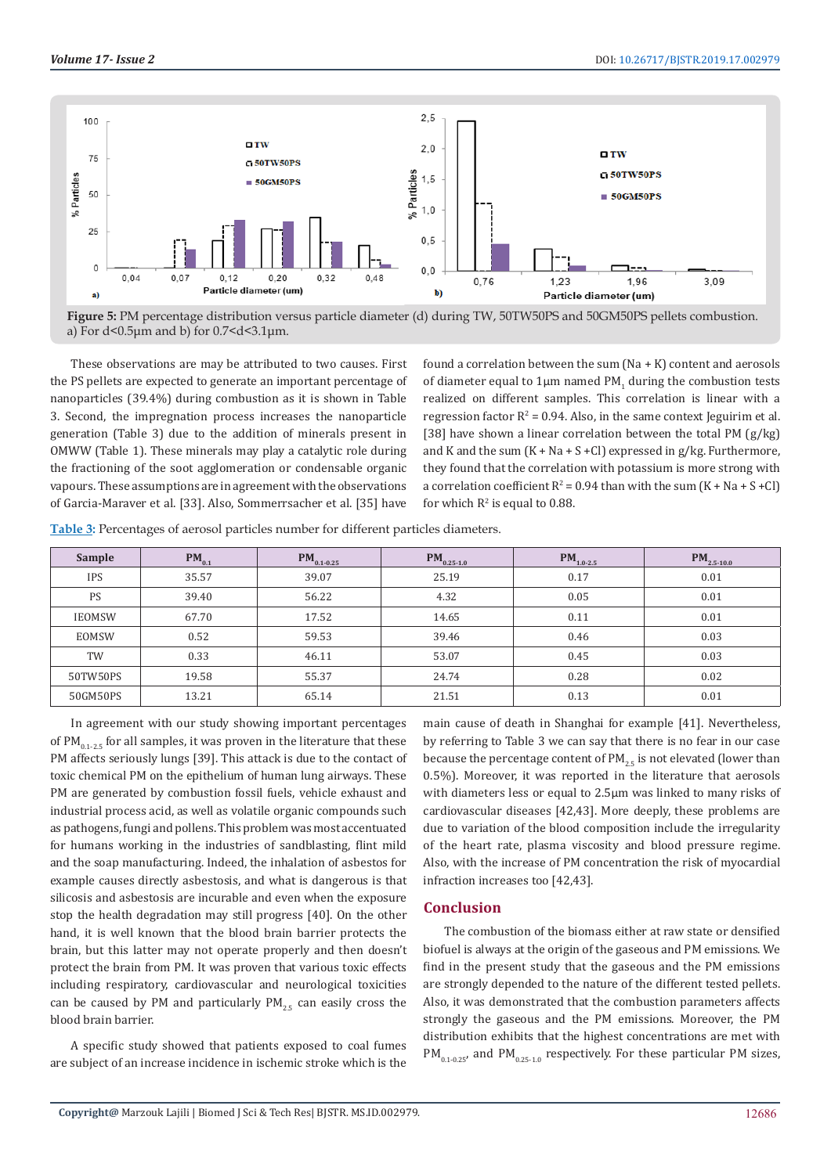

**Figure 5:** PM percentage distribution versus particle diameter (d) during TW, 50TW50PS and 50GM50PS pellets combustion. a) For  $d$ <0.5 $\mu$ m and b) for 0.7<d<3.1 $\mu$ m.

These observations are may be attributed to two causes. First the PS pellets are expected to generate an important percentage of nanoparticles (39.4%) during combustion as it is shown in Table 3. Second, the impregnation process increases the nanoparticle generation (Table 3) due to the addition of minerals present in OMWW (Table 1). These minerals may play a catalytic role during the fractioning of the soot agglomeration or condensable organic vapours. These assumptions are in agreement with the observations of Garcia-Maraver et al. [33]. Also, Sommerrsacher et al. [35] have

found a correlation between the sum  $(Na + K)$  content and aerosols of diameter equal to  $1\mu$ m named PM<sub>1</sub> during the combustion tests realized on different samples. This correlation is linear with a regression factor  $R^2$  = 0.94. Also, in the same context Jeguirim et al. [38] have shown a linear correlation between the total PM (g/kg) and K and the sum  $(K + Na + S + Cl)$  expressed in g/kg. Furthermore, they found that the correlation with potassium is more strong with a correlation coefficient  $R^2 = 0.94$  than with the sum  $(K + Na + S + Cl)$ for which  $R^2$  is equal to 0.88.

| <b>Table 3:</b> Percentages of aerosol particles number for different particles diameters. |  |
|--------------------------------------------------------------------------------------------|--|
|                                                                                            |  |

| Sample        | $PM_{0.1}$ | $PM_{0.1-0.25}$ | $PM_{0.25-1.0}$ | $PM_{1.0-2.5}$ | $PM_{2.5-10.0}$ |
|---------------|------------|-----------------|-----------------|----------------|-----------------|
| <b>IPS</b>    | 35.57      | 39.07           | 25.19           | 0.17           | 0.01            |
| PS            | 39.40      | 56.22           | 4.32            | 0.05           | 0.01            |
| <b>IEOMSW</b> | 67.70      | 17.52           | 14.65           | 0.11           | 0.01            |
| EOMSW         | 0.52       | 59.53           | 39.46           | 0.46           | 0.03            |
| TW            | 0.33       | 46.11           | 53.07           | 0.45           | 0.03            |
| 50TW50PS      | 19.58      | 55.37           | 24.74           | 0.28           | 0.02            |
| 50GM50PS      | 13.21      | 65.14           | 21.51           | 0.13           | 0.01            |

In agreement with our study showing important percentages of  $PM_{0.1-2.5}$  for all samples, it was proven in the literature that these PM affects seriously lungs [39]. This attack is due to the contact of toxic chemical PM on the epithelium of human lung airways. These PM are generated by combustion fossil fuels, vehicle exhaust and industrial process acid, as well as volatile organic compounds such as pathogens, fungi and pollens. This problem was most accentuated for humans working in the industries of sandblasting, flint mild and the soap manufacturing. Indeed, the inhalation of asbestos for example causes directly asbestosis, and what is dangerous is that silicosis and asbestosis are incurable and even when the exposure stop the health degradation may still progress [40]. On the other hand, it is well known that the blood brain barrier protects the brain, but this latter may not operate properly and then doesn't protect the brain from PM. It was proven that various toxic effects including respiratory, cardiovascular and neurological toxicities can be caused by PM and particularly  $PM_{2.5}$  can easily cross the blood brain barrier.

A specific study showed that patients exposed to coal fumes are subject of an increase incidence in ischemic stroke which is the main cause of death in Shanghai for example [41]. Nevertheless, by referring to Table 3 we can say that there is no fear in our case because the percentage content of  $PM_{25}$  is not elevated (lower than 0.5%). Moreover, it was reported in the literature that aerosols with diameters less or equal to 2.5μm was linked to many risks of cardiovascular diseases [42,43]. More deeply, these problems are due to variation of the blood composition include the irregularity of the heart rate, plasma viscosity and blood pressure regime. Also, with the increase of PM concentration the risk of myocardial infraction increases too [42,43].

# **Conclusion**

The combustion of the biomass either at raw state or densified biofuel is always at the origin of the gaseous and PM emissions. We find in the present study that the gaseous and the PM emissions are strongly depended to the nature of the different tested pellets. Also, it was demonstrated that the combustion parameters affects strongly the gaseous and the PM emissions. Moreover, the PM distribution exhibits that the highest concentrations are met with  $PM_{0.1-0.25'}$  and  $PM_{0.25-1.0}$  respectively. For these particular PM sizes,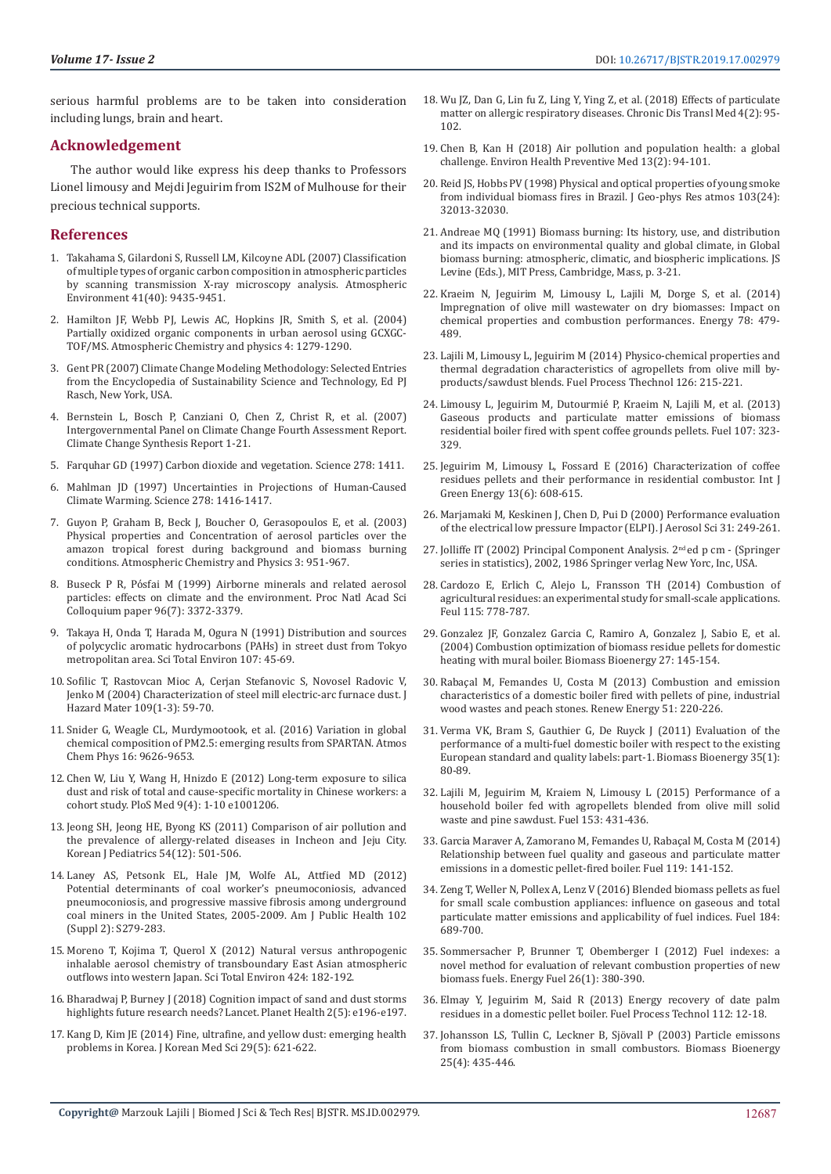serious harmful problems are to be taken into consideration including lungs, brain and heart.

# **Acknowledgement**

The author would like express his deep thanks to Professors Lionel limousy and Mejdi Jeguirim from IS2M of Mulhouse for their precious technical supports.

# **References**

- 1. [Takahama S, Gilardoni S, Russell LM, Kilcoyne ADL \(2007\) Classification](https://www.sciencedirect.com/science/article/pii/S1352231007007716)  [of multiple types of organic carbon composition in atmospheric particles](https://www.sciencedirect.com/science/article/pii/S1352231007007716)  [by scanning transmission X-ray microscopy analysis. Atmospheric](https://www.sciencedirect.com/science/article/pii/S1352231007007716)  [Environment 41\(40\): 9435-9451.](https://www.sciencedirect.com/science/article/pii/S1352231007007716)
- 2. [Hamilton JF, Webb PJ, Lewis AC, Hopkins JR, Smith S, et al. \(2004\)](https://www.atmos-chem-phys.net/4/1279/2004/)  [Partially oxidized organic components in urban aerosol using GCXGC-](https://www.atmos-chem-phys.net/4/1279/2004/)[TOF/MS. Atmospheric Chemistry and physics 4: 1279-1290.](https://www.atmos-chem-phys.net/4/1279/2004/)
- 3. [Gent PR \(2007\) Climate Change Modeling Methodology: Selected Entries](https://www.springer.com/gp/book/9781461457664)  [from the Encyclopedia of Sustainability Science and Technology, Ed PJ](https://www.springer.com/gp/book/9781461457664)  [Rasch, New York, USA.](https://www.springer.com/gp/book/9781461457664)
- 4. [Bernstein L, Bosch P, Canziani O, Chen Z, Christ R, et al. \(2007\)](https://www.ipcc.ch/assessment-report/ar4/)  [Intergovernmental Panel on Climate Change Fourth Assessment Report.](https://www.ipcc.ch/assessment-report/ar4/)  [Climate Change Synthesis Report 1-21.](https://www.ipcc.ch/assessment-report/ar4/)
- 5. [Farquhar GD \(1997\) Carbon dioxide and vegetation. Science 278: 1411.](https://science.sciencemag.org/content/278/5342/1411)
- 6. [Mahlman JD \(1997\) Uncertainties in Projections of Human-Caused](https://science.sciencemag.org/content/278/5342/1416)  [Climate Warming. Science 278: 1416-1417.](https://science.sciencemag.org/content/278/5342/1416)
- 7. [Guyon P, Graham B, Beck J, Boucher O, Gerasopoulos E, et al. \(2003\)](http://scrippsscholars.ucsd.edu/gcroberts/content/physical-properties-and-concentration-aerosol-particles-over-amazon-tropical-forest-during-b)  [Physical properties and Concentration of aerosol particles over the](http://scrippsscholars.ucsd.edu/gcroberts/content/physical-properties-and-concentration-aerosol-particles-over-amazon-tropical-forest-during-b)  [amazon tropical forest during background and biomass burning](http://scrippsscholars.ucsd.edu/gcroberts/content/physical-properties-and-concentration-aerosol-particles-over-amazon-tropical-forest-during-b)  [conditions. Atmospheric Chemistry and Physics 3: 951-967.](http://scrippsscholars.ucsd.edu/gcroberts/content/physical-properties-and-concentration-aerosol-particles-over-amazon-tropical-forest-during-b)
- 8. [Buseck P R, Pόsfai M \(1999\) Airborne minerals and related aerosol](https://www.pnas.org/content/96/7/3372)  [particles: effects on climate and the environment. Proc Natl Acad Sci](https://www.pnas.org/content/96/7/3372)  [Colloquium paper 96\(7\): 3372-3379.](https://www.pnas.org/content/96/7/3372)
- 9. [Takaya H, Onda T, Harada M, Ogura N \(1991\) Distribution and sources](https://www.sciencedirect.com/science/article/pii/004896979190249E)  [of polycyclic aromatic hydrocarbons \(PAHs\) in street dust from Tokyo](https://www.sciencedirect.com/science/article/pii/004896979190249E)  [metropolitan area. Sci Total Environ 107: 45-69.](https://www.sciencedirect.com/science/article/pii/004896979190249E)
- 10. [Sofilic T, Rastovcan Mioc A, Cerjan Stefanovic S, Novosel Radovic V,](https://www.sciencedirect.com/science/article/pii/S0304389404001244)  [Jenko M \(2004\) Characterization of steel mill electric-arc furnace dust. J](https://www.sciencedirect.com/science/article/pii/S0304389404001244)  [Hazard Mater 109\(1-3\): 59-70.](https://www.sciencedirect.com/science/article/pii/S0304389404001244)
- 11. [Snider G, Weagle CL, Murdymootook, et al. \(2016\) Variation in global](https://www.atmos-chem-phys.net/16/9629/2016/)  [chemical composition of PM2.5: emerging results from SPARTAN. Atmos](https://www.atmos-chem-phys.net/16/9629/2016/)  [Chem Phys 16: 9626-9653.](https://www.atmos-chem-phys.net/16/9629/2016/)
- 12. [Chen W, Liu Y, Wang H, Hnizdo E \(2012\) Long-term exposure to silica](https://www.ncbi.nlm.nih.gov/pubmed/22529751)  [dust and risk of total and cause-specific mortality in Chinese workers: a](https://www.ncbi.nlm.nih.gov/pubmed/22529751)  [cohort study. PloS Med 9\(4\): 1-10 e1001206.](https://www.ncbi.nlm.nih.gov/pubmed/22529751)
- 13. [Jeong SH, Jeong HE, Byong KS \(2011\) Comparison of air pollution and](https://www.ncbi.nlm.nih.gov/pubmed/22323906/)  [the prevalence of allergy-related diseases in Incheon and Jeju City.](https://www.ncbi.nlm.nih.gov/pubmed/22323906/)  [Korean J Pediatrics 54\(12\): 501-506.](https://www.ncbi.nlm.nih.gov/pubmed/22323906/)
- 14. [Laney AS, Petsonk EL, Hale JM, Wolfe AL, Attfied MD \(2012\)](https://www.ncbi.nlm.nih.gov/pubmed/22401526)  [Potential determinants of coal worker's pneumoconiosis, advanced](https://www.ncbi.nlm.nih.gov/pubmed/22401526)  [pneumoconiosis, and progressive massive fibrosis among underground](https://www.ncbi.nlm.nih.gov/pubmed/22401526)  [coal miners in the United States, 2005-2009. Am J Public Health 102](https://www.ncbi.nlm.nih.gov/pubmed/22401526)  [\(Suppl 2\): S279-283.](https://www.ncbi.nlm.nih.gov/pubmed/22401526)
- 15. [Moreno T, Kojima T, Querol X \(2012\) Natural versus anthropogenic](https://www.ncbi.nlm.nih.gov/pubmed/22444053)  [inhalable aerosol chemistry of transboundary East Asian atmospheric](https://www.ncbi.nlm.nih.gov/pubmed/22444053)  [outflows into western Japan. Sci Total Environ 424: 182-192.](https://www.ncbi.nlm.nih.gov/pubmed/22444053)
- 16. [Bharadwaj P, Burney J \(2018\) Cognition impact of sand and dust storms](https://www.thelancet.com/journals/lanplh/article/PIIS2542-5196(18)30071-8/fulltext)  [highlights future research needs? Lancet. Planet Health 2\(5\): e196-e197.](https://www.thelancet.com/journals/lanplh/article/PIIS2542-5196(18)30071-8/fulltext)
- 17. [Kang D, Kim JE \(2014\) Fine, ultrafine, and yellow dust: emerging health](https://www.ncbi.nlm.nih.gov/pubmed/24851015/)  [problems in Korea. J Korean Med Sci 29\(5\): 621-622.](https://www.ncbi.nlm.nih.gov/pubmed/24851015/)
- 18. [Wu JZ, Dan G, Lin fu Z, Ling Y, Ying Z, et al. \(2018\) Effects of particulate](https://www.ncbi.nlm.nih.gov/pubmed/29988900/) [matter on allergic respiratory diseases. Chronic Dis Transl Med 4\(2\): 95-](https://www.ncbi.nlm.nih.gov/pubmed/29988900/) [102.](https://www.ncbi.nlm.nih.gov/pubmed/29988900/)
- 19. [Chen B, Kan H \(2018\) Air pollution and population health: a global](https://www.ncbi.nlm.nih.gov/pubmed/19568887/) [challenge. Environ Health Preventive Med 13\(2\): 94-101.](https://www.ncbi.nlm.nih.gov/pubmed/19568887/)
- 20. [Reid JS, Hobbs PV \(1998\) Physical and optical properties of young smoke](https://agupubs.onlinelibrary.wiley.com/doi/abs/10.1029/98JD00159) [from individual biomass fires in Brazil. J Geo-phys Res atmos 103\(24\):](https://agupubs.onlinelibrary.wiley.com/doi/abs/10.1029/98JD00159) [32013-32030.](https://agupubs.onlinelibrary.wiley.com/doi/abs/10.1029/98JD00159)
- 21. [Andreae MQ \(1991\) Biomass burning: Its history, use, and distribution](https://inis.iaea.org/search/search.aspx?orig_q=RN:23066746) [and its impacts on environmental quality and global climate, in Global](https://inis.iaea.org/search/search.aspx?orig_q=RN:23066746) [biomass burning: atmospheric, climatic, and biospheric implications. JS](https://inis.iaea.org/search/search.aspx?orig_q=RN:23066746) [Levine \(Eds.\), MIT Press, Cambridge, Mass, p. 3-21.](https://inis.iaea.org/search/search.aspx?orig_q=RN:23066746)
- 22. [Kraeim N, Jeguirim M, Limousy L, Lajili M, Dorge S, et al. \(2014\)](https://www.sciencedirect.com/science/article/abs/pii/S0360544214011840) [Impregnation of olive mill wastewater on dry biomasses: Impact on](https://www.sciencedirect.com/science/article/abs/pii/S0360544214011840) [chemical properties and combustion performances. Energy 78: 479-](https://www.sciencedirect.com/science/article/abs/pii/S0360544214011840) [489.](https://www.sciencedirect.com/science/article/abs/pii/S0360544214011840)
- 23. [Lajili M, Limousy L, Jeguirim M \(2014\) Physico-chemical properties and](https://www.sciencedirect.com/science/article/pii/S0378382014001994) [thermal degradation characteristics of agropellets from olive mill by](https://www.sciencedirect.com/science/article/pii/S0378382014001994)[products/sawdust blends. Fuel Process Thechnol 126: 215-221.](https://www.sciencedirect.com/science/article/pii/S0378382014001994)
- 24. [Limousy L, Jeguirim M, Dutourmié P, Kraeim N, Lajili M, et al. \(2013\)](https://www.sciencedirect.com/science/article/pii/S0016236112008162) [Gaseous products and particulate matter emissions of biomass](https://www.sciencedirect.com/science/article/pii/S0016236112008162) [residential boiler fired with spent coffee grounds pellets. Fuel 107: 323-](https://www.sciencedirect.com/science/article/pii/S0016236112008162) [329.](https://www.sciencedirect.com/science/article/pii/S0016236112008162)
- 25. [Jeguirim M, Limousy L, Fossard E \(2016\) Characterization of coffee](https://www.tandfonline.com/doi/abs/10.1080/15435075.2014.888664) [residues pellets and their performance in residential combustor. Int J](https://www.tandfonline.com/doi/abs/10.1080/15435075.2014.888664) [Green Energy 13\(6\): 608-615.](https://www.tandfonline.com/doi/abs/10.1080/15435075.2014.888664)
- 26. [Marjamaki M, Keskinen J, Chen D, Pui D \(2000\) Performance evaluation](https://www.sciencedirect.com/science/article/pii/S002185029900052X) [of the electrical low pressure Impactor \(ELPI\). J Aerosol Sci 31: 249-261.](https://www.sciencedirect.com/science/article/pii/S002185029900052X)
- 27. [Jolliffe IT \(2002\) Principal Component Analysis. 2nd ed p cm \(Springer](http://cda.psych.uiuc.edu/statistical_learning_course/Jolliffe%20I.%20Principal%20Component%20Analysis%20(2ed.,%20Springer,%202002)(518s)_MVsa_.pdf) [series in statistics\), 2002, 1986 Springer verlag New Yorc, Inc, USA.](http://cda.psych.uiuc.edu/statistical_learning_course/Jolliffe%20I.%20Principal%20Component%20Analysis%20(2ed.,%20Springer,%202002)(518s)_MVsa_.pdf)
- 28. [Cardozo E, Erlich C, Alejo L, Fransson TH \(2014\) Combustion of](https://www.sciencedirect.com/science/article/pii/S0016236113006534) [agricultural residues: an experimental study for small-scale applications.](https://www.sciencedirect.com/science/article/pii/S0016236113006534) [Feul 115: 778-787.](https://www.sciencedirect.com/science/article/pii/S0016236113006534)
- 29. [Gonzalez JF, Gonzalez Garcia C, Ramiro A, Gonzalez J, Sabio E, et al.](https://www.sciencedirect.com/science/article/pii/S0961953404000133) [\(2004\) Combustion optimization of biomass residue pellets for domestic](https://www.sciencedirect.com/science/article/pii/S0961953404000133) [heating with mural boiler. Biomass Bioenergy 27: 145-154.](https://www.sciencedirect.com/science/article/pii/S0961953404000133)
- 30. [Rabaçal M, Femandes U, Costa M \(2013\) Combustion and emission](https://www.sciencedirect.com/science/article/pii/S0960148112005915) [characteristics of a domestic boiler fired with pellets of pine, industrial](https://www.sciencedirect.com/science/article/pii/S0960148112005915) [wood wastes and peach stones. Renew Energy 51: 220-226.](https://www.sciencedirect.com/science/article/pii/S0960148112005915)
- 31. [Verma VK, Bram S, Gauthier G, De Ruyck J \(2011\) Evaluation of the](https://www.sciencedirect.com/science/article/pii/S0961953410002850) [performance of a multi-fuel domestic boiler with respect to the existing](https://www.sciencedirect.com/science/article/pii/S0961953410002850) [European standard and quality labels: part-1. Biomass Bioenergy 35\(1\):](https://www.sciencedirect.com/science/article/pii/S0961953410002850) [80-89.](https://www.sciencedirect.com/science/article/pii/S0961953410002850)
- 32. [Lajili M, Jeguirim M, Kraiem N, Limousy L \(2015\) Performance of a](https://www.sciencedirect.com/science/article/pii/S0016236115002914) [household boiler fed with agropellets blended from olive mill solid](https://www.sciencedirect.com/science/article/pii/S0016236115002914) [waste and pine sawdust. Fuel 153: 431-436.](https://www.sciencedirect.com/science/article/pii/S0016236115002914)
- 33. [Garcia Maraver A, Zamorano M, Femandes U, Rabaçal M, Costa M \(2014\)](https://www.sciencedirect.com/science/article/pii/S0016236113011083) [Relationship between fuel quality and gaseous and particulate matter](https://www.sciencedirect.com/science/article/pii/S0016236113011083) [emissions in a domestic pellet-fired boiler. Fuel 119: 141-152.](https://www.sciencedirect.com/science/article/pii/S0016236113011083)
- 34. [Zeng T, Weller N, Pollex A, Lenz V \(2016\) Blended biomass pellets as fuel](https://www.sciencedirect.com/science/article/pii/S0016236116306494) [for small scale combustion appliances: influence on gaseous and total](https://www.sciencedirect.com/science/article/pii/S0016236116306494) [particulate matter emissions and applicability of fuel indices. Fuel 184:](https://www.sciencedirect.com/science/article/pii/S0016236116306494) [689-700.](https://www.sciencedirect.com/science/article/pii/S0016236116306494)
- 35. [Sommersacher P, Brunner T, Obemberger I \(2012\) Fuel indexes: a](https://pubs.acs.org/doi/abs/10.1021/ef201282y) [novel method for evaluation of relevant combustion properties of new](https://pubs.acs.org/doi/abs/10.1021/ef201282y) [biomass fuels. Energy Fuel 26\(1\): 380-390.](https://pubs.acs.org/doi/abs/10.1021/ef201282y)
- 36. [Elmay Y, Jeguirim M, Said R \(2013\) Energy recovery of date palm](https://www.sciencedirect.com/science/article/pii/S0378382013000854) [residues in a domestic pellet boiler. Fuel Process Technol 112: 12-18.](https://www.sciencedirect.com/science/article/pii/S0378382013000854)
- 37. [Johansson LS, Tullin C, Leckner B, Sjövall P \(2003\) Particle emissons](https://www.sciencedirect.com/science/article/pii/S0961953403000369) [from biomass combustion in small combustors. Biomass Bioenergy](https://www.sciencedirect.com/science/article/pii/S0961953403000369) [25\(4\): 435-446.](https://www.sciencedirect.com/science/article/pii/S0961953403000369)